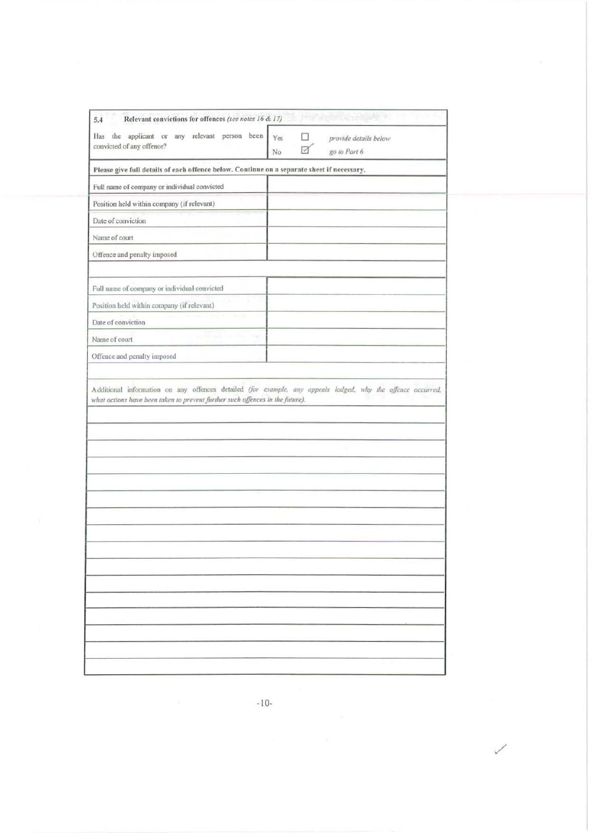| Please give full details of each offence below. Continue on a separate sheet if necessary,<br>Full name of company or individual convicted<br>Position held within company (if relevant)<br>Date of conviction<br>Name of court<br>Offence and penalty imposed<br>Full name of company or individual convicted<br>Position held within company (if relevant)<br>Date of conviction<br>Name of court<br>Offence and penalty imposed<br>Additional information on any offences detailed (for example, any appeals lodged, why the offence occurred,<br>what actions have been taken to prevent further such offences in the future). | Has the applicant or any relevant person been<br>convicted of any offence? | $\Box$<br>Yes<br>provide details below<br>go to Part 6<br>No |
|------------------------------------------------------------------------------------------------------------------------------------------------------------------------------------------------------------------------------------------------------------------------------------------------------------------------------------------------------------------------------------------------------------------------------------------------------------------------------------------------------------------------------------------------------------------------------------------------------------------------------------|----------------------------------------------------------------------------|--------------------------------------------------------------|
|                                                                                                                                                                                                                                                                                                                                                                                                                                                                                                                                                                                                                                    |                                                                            |                                                              |
|                                                                                                                                                                                                                                                                                                                                                                                                                                                                                                                                                                                                                                    |                                                                            |                                                              |
|                                                                                                                                                                                                                                                                                                                                                                                                                                                                                                                                                                                                                                    |                                                                            |                                                              |
|                                                                                                                                                                                                                                                                                                                                                                                                                                                                                                                                                                                                                                    |                                                                            |                                                              |
|                                                                                                                                                                                                                                                                                                                                                                                                                                                                                                                                                                                                                                    |                                                                            |                                                              |
|                                                                                                                                                                                                                                                                                                                                                                                                                                                                                                                                                                                                                                    |                                                                            |                                                              |
|                                                                                                                                                                                                                                                                                                                                                                                                                                                                                                                                                                                                                                    |                                                                            |                                                              |
|                                                                                                                                                                                                                                                                                                                                                                                                                                                                                                                                                                                                                                    |                                                                            |                                                              |
|                                                                                                                                                                                                                                                                                                                                                                                                                                                                                                                                                                                                                                    |                                                                            |                                                              |
|                                                                                                                                                                                                                                                                                                                                                                                                                                                                                                                                                                                                                                    |                                                                            |                                                              |
|                                                                                                                                                                                                                                                                                                                                                                                                                                                                                                                                                                                                                                    |                                                                            |                                                              |
|                                                                                                                                                                                                                                                                                                                                                                                                                                                                                                                                                                                                                                    |                                                                            |                                                              |
|                                                                                                                                                                                                                                                                                                                                                                                                                                                                                                                                                                                                                                    |                                                                            |                                                              |
|                                                                                                                                                                                                                                                                                                                                                                                                                                                                                                                                                                                                                                    |                                                                            |                                                              |
|                                                                                                                                                                                                                                                                                                                                                                                                                                                                                                                                                                                                                                    |                                                                            |                                                              |
|                                                                                                                                                                                                                                                                                                                                                                                                                                                                                                                                                                                                                                    |                                                                            |                                                              |
|                                                                                                                                                                                                                                                                                                                                                                                                                                                                                                                                                                                                                                    |                                                                            |                                                              |
|                                                                                                                                                                                                                                                                                                                                                                                                                                                                                                                                                                                                                                    |                                                                            |                                                              |
|                                                                                                                                                                                                                                                                                                                                                                                                                                                                                                                                                                                                                                    |                                                                            |                                                              |

 $\mbox{-}10\mbox{-}$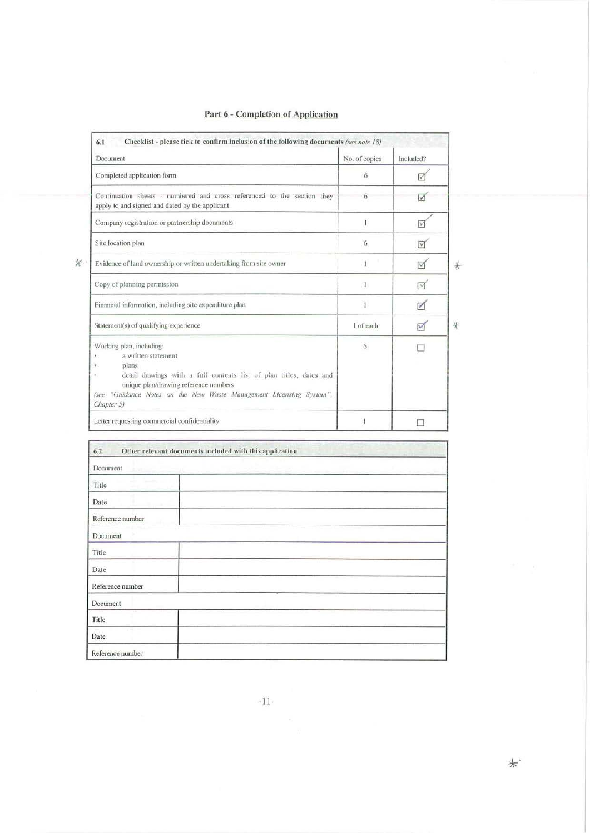| Document                                                                                                                                                                                                                                                      | No. of copies | Included?       |
|---------------------------------------------------------------------------------------------------------------------------------------------------------------------------------------------------------------------------------------------------------------|---------------|-----------------|
| Completed application form                                                                                                                                                                                                                                    | 6             | ☑               |
| Continuation sheets - numbered and cross referenced to the section they<br>apply to and signed and dated by the applicant                                                                                                                                     | 6             | $\sqrt{ }$      |
| Company registration or partnership documents                                                                                                                                                                                                                 | $\mathbf{I}$  | M               |
| Site location plan                                                                                                                                                                                                                                            | 6             | M               |
| Evidence of land ownership or written undertaking from site owner                                                                                                                                                                                             | 1             | М               |
| Copy of planning permission                                                                                                                                                                                                                                   | $\mathbf{I}$  | $\triangledown$ |
| Financial information, including site expenditure plan                                                                                                                                                                                                        | 1             | ☑               |
| Statement(s) of qualifying experience                                                                                                                                                                                                                         | I of each     | $\triangledown$ |
| Working plan, including:<br>a written statement<br>plans<br>detail drawings with a full contents list of plan titles, dates and<br>unique plan/drawing reference numbers<br>(see "Guidance Notes on the New Waste Management Licensing System",<br>Chapter 5) | 6             |                 |
| Letter requesting commercial confidentiality                                                                                                                                                                                                                  |               |                 |

 $\mathbb X$ 

### Part 6 - Completion of Application

| 6.2                        | Other relevant documents included with this application |
|----------------------------|---------------------------------------------------------|
| Document<br><b>ENTILE</b>  |                                                         |
| Title                      |                                                         |
| Date                       |                                                         |
| Reference number           |                                                         |
| Document                   |                                                         |
| Title                      |                                                         |
| Date                       |                                                         |
| Reference number           |                                                         |
| Document                   |                                                         |
| Title                      |                                                         |
| <b>STAR</b><br><b>Date</b> |                                                         |
| Reference number           |                                                         |

 $\ast.$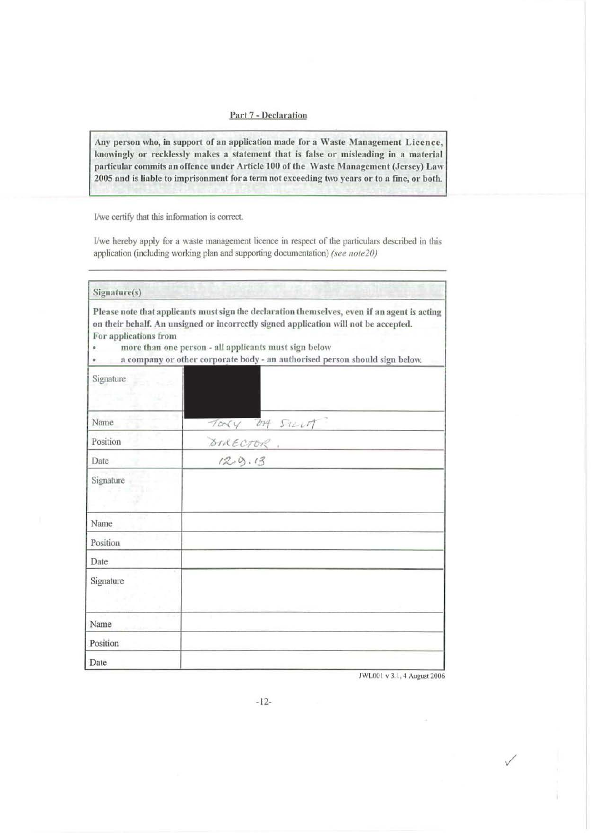#### Part 7 - Declaration

Any person who, in support of an application made for a Waste Management Licence, knowingly or recklessly makes a statement that is false or misleading in a material particular commits an offence under Article 100 of the Waste Management (Jersey) Law 2005 and is liable to imprisonment for a term not exceeding two years or to a fine, or both.

I/we certify that this information is correct.

I/we hereby apply for a waste management licence in respect of the particulars described in this application (including working plan and supporting documentation) *(see note20)* 

| Signature(s)          |                                                                                                                                                                                                                                                                                                                              |
|-----------------------|------------------------------------------------------------------------------------------------------------------------------------------------------------------------------------------------------------------------------------------------------------------------------------------------------------------------------|
| For applications from | Please note that applicants must sign the declaration themselves, even if an agent is acting<br>on their behalf. An unsigned or incorrectly signed application will not be accepted.<br>more than one person - all applicants must sign below<br>a company or other corporate body - an authorised person should sign below. |
| <b>Signature</b>      |                                                                                                                                                                                                                                                                                                                              |
| Name                  | TORY DA SILVIT                                                                                                                                                                                                                                                                                                               |
| Position              |                                                                                                                                                                                                                                                                                                                              |
| Date                  |                                                                                                                                                                                                                                                                                                                              |
| Signature             |                                                                                                                                                                                                                                                                                                                              |
| Name                  |                                                                                                                                                                                                                                                                                                                              |
| Position              |                                                                                                                                                                                                                                                                                                                              |
| Date                  |                                                                                                                                                                                                                                                                                                                              |
| Signature             |                                                                                                                                                                                                                                                                                                                              |
| Name                  |                                                                                                                                                                                                                                                                                                                              |
| Position              |                                                                                                                                                                                                                                                                                                                              |
| Date                  |                                                                                                                                                                                                                                                                                                                              |

JWL001 v 3.1, 4 August 2006

 $\checkmark$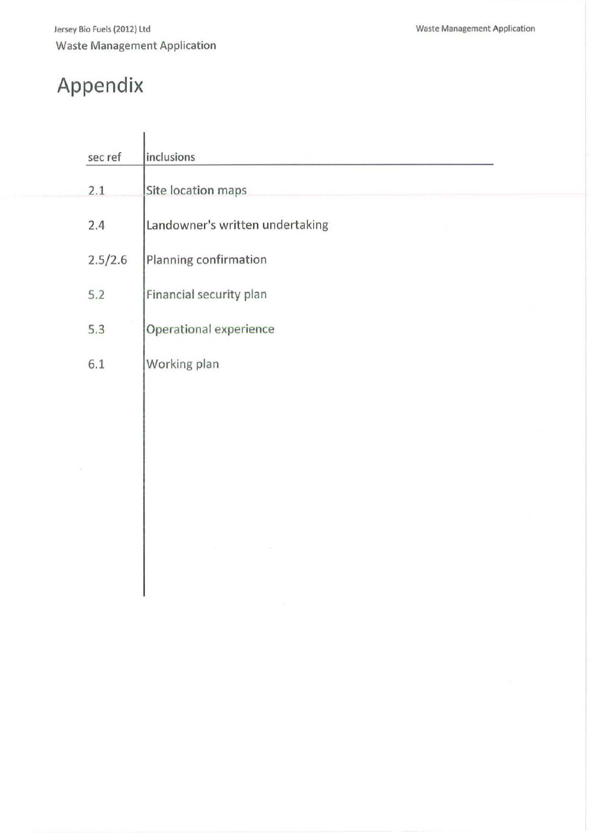# **Appendix**

| sec ref | inclusions                      |  |
|---------|---------------------------------|--|
| 2.1     | Site location maps              |  |
| 2.4     | Landowner's written undertaking |  |
| 2.5/2.6 | Planning confirmation           |  |
| 5.2     | Financial security plan         |  |
| 5.3     | Operational experience          |  |
| 6.1     | Working plan                    |  |
|         |                                 |  |
|         |                                 |  |
|         |                                 |  |
|         |                                 |  |
|         |                                 |  |
|         |                                 |  |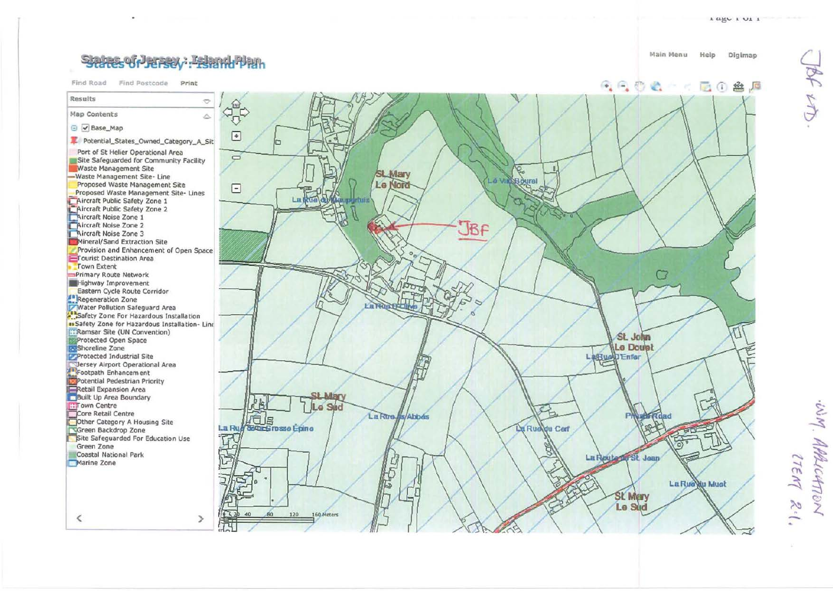# SPARES OF PERSON : FRINGHPPAIN

Find Road Find Postcode Print



э

 $\langle$ 



Main Menu Help Digimap

 $0.000 - 0.000$ 

Lagu L UL L

后介盘后

WM. APALICATION 17EM 2.1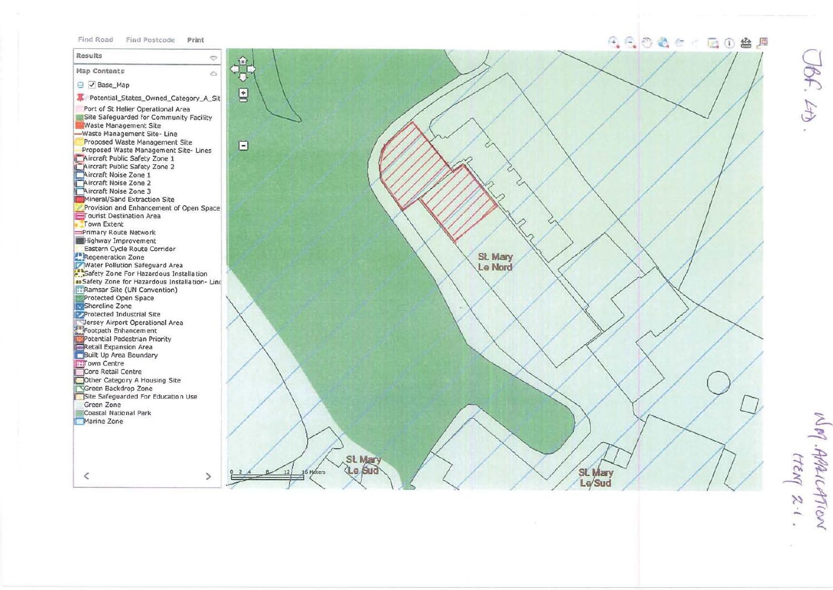#### Find Road Find Postcode Print

 $\ddot{\circ}$ 

 $\geq$ 

Results

 $\,<\,$ 

## 6600 c 00 8 5

Map Contents  $\mathbb A$ **□** √ Base Map Potential\_States\_Owned\_Category\_A\_Sit Port of St Helier Operational Area Site Safeguarded for Community Facility Waste Management Site -Waste Management Site-Line Proposed Waste Management Site Proposed Waste Management Site- Lines Aircraft Public Safety Zone 1 Aircraft Public Safety Zone 2 Aircraft Noise Zone 1 Aircraft Noise Zone 2 Aircraft Noise Zone 3 Mineral/Sand Extraction Site Provision and Enhancement of Open Space Tourist Destination Area Town Extent Primary Route Network **Highway Improvement** Eastern Cycle Route Corridor **Example 2018**<br>**Examplemental School School School School School School School School School School School School School School School School School School School School School School School School School School School Sch** a: Safety Zone for Hazardous Installation- Line **E: Ramsar Site (UN Convention)** Protected Open Space Shoreline Zone Protected Industrial Site Dersey Airport Operational Area There are Airport Operational Archives<br>
Footential Pedestrian Priority<br>
Retail Expansion Area<br>
Built Up Area Boundary **IST** own Centre Core Retail Centre Other Category A Housing Site Green Backdrop Zone Site Safeguarded For Education Use Green Zone Coastal National Park Marine Zone



WM. AAAILATION  $\frac{1}{2}$ .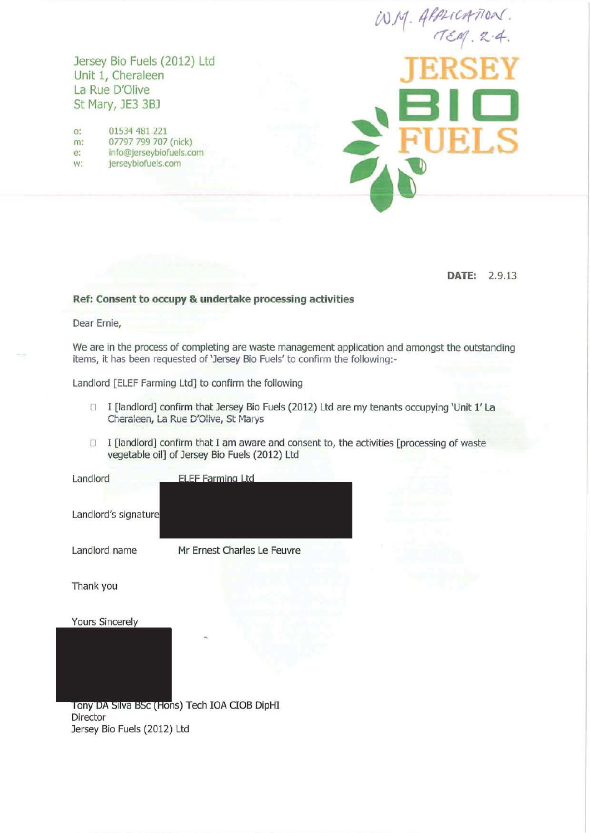Jersey Bio Fuels (2012) Ltd Unit 1, Cheraleen La Rue D'Oiive St Mary, JE3 3BJ

o: 01534 481 221 m: 07797 799 707 (nick) e: info@jerseybiofuels.com w: jerseybiofuels.com

 $W.M.$  APPLICATION.  $TEM$ .  $2-4$ . **JERSEY 1=110 ELS** 

**DATE:** 2.9.13

#### **Ref: Consent to occupy & undertake processing activities**

Dear Ernie,

We are in the process of completing are waste management application and amongst the outstanding items, it has been requested of 'Jersey Bio Fuels' to confirm the following:-

Landlord [ELEF Farming Ltd] to confirm the following

- □ I [landlord] confirm that Jersey Bio Fuels (2012) Ltd are my tenants occupying 'Unit 1' La Cheraleen, La Rue D'Olive, St Marys
- $\Box$  I [landlord] confirm that I am aware and consent to, the activities [processing of waste vegetable oil] of Jersey Bio Fuels (2012) Ltd

Landlord

Landlord's sig

Landlord name Mr Ernest Charles Le Feuvre

**ELEF Farming Ltd** 

Thank you

**Yours Sincerely** 

Tony DA Silva BSc (Hons) Tech IOA CIOB DipHI Director Jersey Bio Fuels (2012) Ltd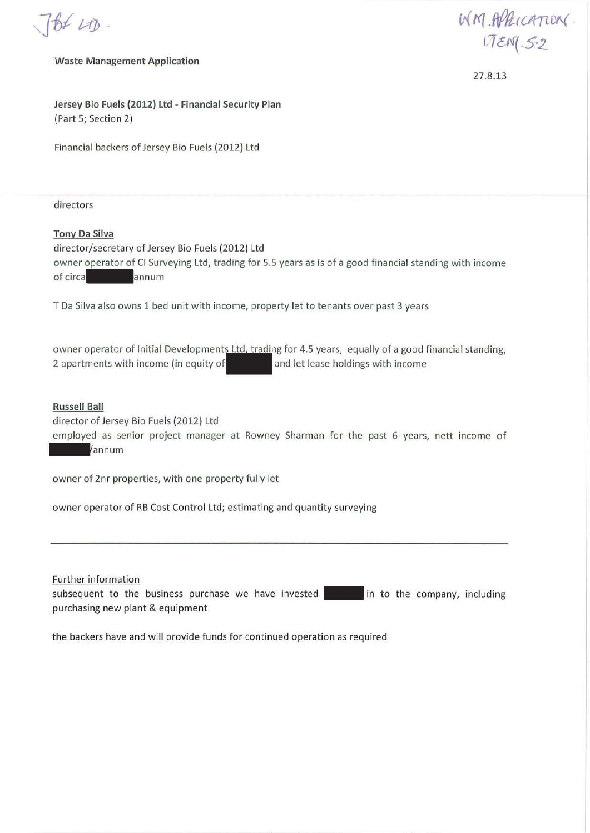$7660$ 

Waste Management Application

 $M$ *M .ft/RICATION cr* crf(. *s.* <sup>2</sup>

27.8.13

Jersey Bio Fuels (2012) Ltd - Financial Security Plan {Part 5; Section 2)

Financial backers of Jersey Bio Fuels {2012) Ltd

directors

Tony Da Silva director/secretary of Jersey Bio Fuels {2012) Ltd owner operator of Cl Surveying Ltd, trading for 5.5 years as is of a good financial standing with income of circa**-** annum

T DaSilva also owns 1 bed unit with income, property let to tenants over past 3 years

owner operator of Initial Developments Ltd, trading for 4.5 years, equally of a good financial standing, 2 apartments with income (in equity of and let lease holdings with income

Russell Ball

director of Jersey Bio Fuels (2012) Ltd

employed as senior project manager at Rowney Sharman for the past 6 years, nett income of - annum

owner of 2nr properties, with one property fully let

owner operator of RB Cost Control Ltd; estimating and quantity surveying

Further information

subsequent to the business purchase we have invested in the the company, including purchasing new plant & equipment

the backers have and will provide funds for continued operation as required